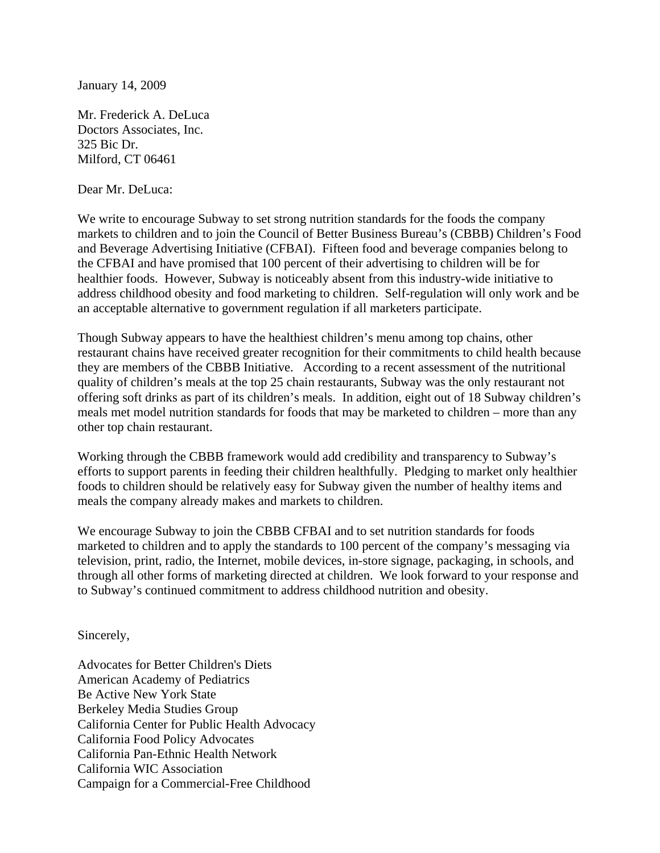January 14, 2009

Mr. [Frederick A. DeLuca](http://hoovers.com/subway/--ID__40450,OID__1078955,target__company_executive--/free-co-samples-index.xhtml) Doctors Associates, Inc. 325 Bic Dr. Milford, CT 06461

Dear Mr. DeLuca:

We write to encourage Subway to set strong nutrition standards for the foods the company markets to children and to join the Council of Better Business Bureau's (CBBB) Children's Food and Beverage Advertising Initiative (CFBAI). Fifteen food and beverage companies belong to the CFBAI and have promised that 100 percent of their advertising to children will be for healthier foods. However, Subway is noticeably absent from this industry-wide initiative to address childhood obesity and food marketing to children. Self-regulation will only work and be an acceptable alternative to government regulation if all marketers participate.

Though Subway appears to have the healthiest children's menu among top chains, other restaurant chains have received greater recognition for their commitments to child health because they are members of the CBBB Initiative. According to a recent assessment of the nutritional quality of children's meals at the top 25 chain restaurants, Subway was the only restaurant not offering soft drinks as part of its children's meals. In addition, eight out of 18 Subway children's meals met model nutrition standards for foods that may be marketed to children – more than any other top chain restaurant.

Working through the CBBB framework would add credibility and transparency to Subway's efforts to support parents in feeding their children healthfully. Pledging to market only healthier foods to children should be relatively easy for Subway given the number of healthy items and meals the company already makes and markets to children.

We encourage Subway to join the CBBB CFBAI and to set nutrition standards for foods marketed to children and to apply the standards to 100 percent of the company's messaging via television, print, radio, the Internet, mobile devices, in-store signage, packaging, in schools, and through all other forms of marketing directed at children. We look forward to your response and to Subway's continued commitment to address childhood nutrition and obesity.

Sincerely,

Advocates for Better Children's Diets American Academy of Pediatrics Be Active New York State Berkeley Media Studies Group California Center for Public Health Advocacy California Food Policy Advocates California Pan-Ethnic Health Network California WIC Association Campaign for a Commercial-Free Childhood